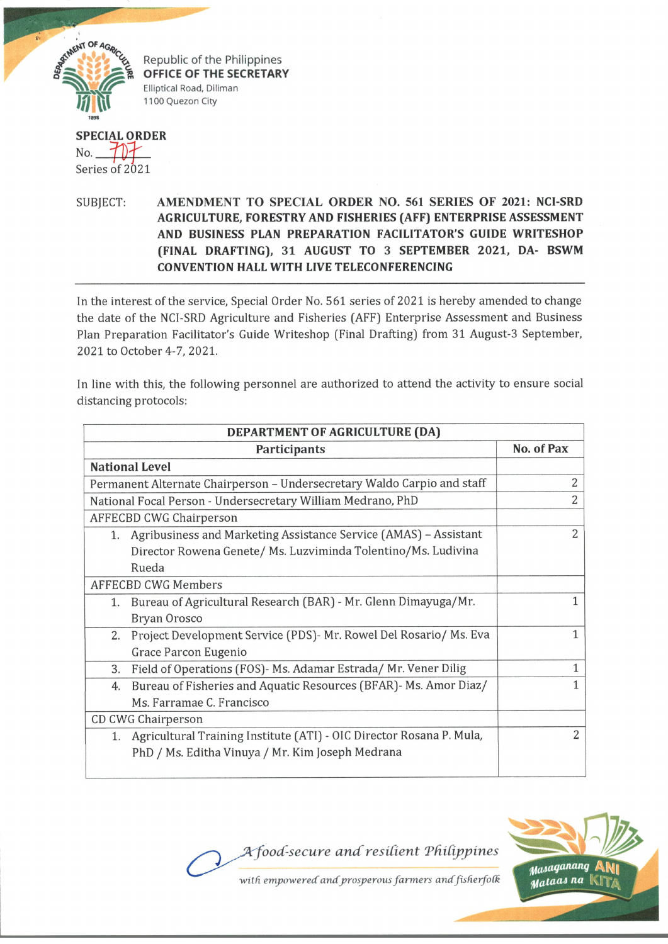

Republic of the Philippines **OFFICE OF THE SECRETARY** Elliptical Road, Diliman 1100 Quezon City

## **SPECIAL ORDER** No- *J j j f '* Series of 2021

SUBJECT: AMENDMENT TO SPECIAL ORDER NO. 561 SERIES OF 2021: NCI-SRD **AGRICULTURE, FORESTRY AND FISHERIES (AFF) ENTERPRISE ASSESSMENT AND BUSINESS PLAN PREPARATION FACILITATOR'S GUIDE WRITESHOP (FINAL DRAFTING),** 31 **AUGUST TO** 3 **SEPTEMBER** 2021, **DA- BSWM CONVENTION HALL WITH LIVE TELECONFERENCING**

In the interest of the service, Special Order No. 561 series of 2021 is hereby amended to change the date of the NCI-SRD Agriculture and Fisheries (AFF) Enterprise Assessment and Business Plan Preparation Facilitator's Guide Writeshop (Final Drafting) from 31 August-3 September, 2021 to October 4-7, 2021.

In line with this, the following personnel are authorized to attend the activity to ensure social distancing protocols:

| DEPARTMENT OF AGRICULTURE (DA) |                                                                         |                |
|--------------------------------|-------------------------------------------------------------------------|----------------|
|                                | <b>Participants</b>                                                     | No. of Pax     |
|                                | <b>National Level</b>                                                   |                |
|                                | Permanent Alternate Chairperson - Undersecretary Waldo Carpio and staff | $\overline{2}$ |
|                                | National Focal Person - Undersecretary William Medrano, PhD             | $\overline{2}$ |
|                                | <b>AFFECBD CWG Chairperson</b>                                          |                |
|                                | 1. Agribusiness and Marketing Assistance Service (AMAS) - Assistant     | $\overline{2}$ |
|                                | Director Rowena Genete/ Ms. Luzviminda Tolentino/Ms. Ludivina           |                |
|                                | Rueda                                                                   |                |
|                                | <b>AFFECBD CWG Members</b>                                              |                |
| 1.                             | Bureau of Agricultural Research (BAR) - Mr. Glenn Dimayuga/Mr.          |                |
|                                | Bryan Orosco                                                            |                |
| 2.                             | Project Development Service (PDS) - Mr. Rowel Del Rosario/ Ms. Eva      |                |
|                                | Grace Parcon Eugenio                                                    |                |
| 3.                             | Field of Operations (FOS)- Ms. Adamar Estrada/ Mr. Vener Dilig          |                |
| 4.                             | Bureau of Fisheries and Aquatic Resources (BFAR)- Ms. Amor Diaz/        | 1              |
|                                | Ms. Farramae C. Francisco                                               |                |
|                                | CD CWG Chairperson                                                      |                |
| 1.                             | Agricultural Training Institute (ATI) - OIC Director Rosana P. Mula,    | $\overline{2}$ |
|                                | PhD / Ms. Editha Vinuya / Mr. Kim Joseph Medrana                        |                |
|                                |                                                                         |                |

A food-secure and resilient Philippines



with empowered and prosperous farmers and fisherfolk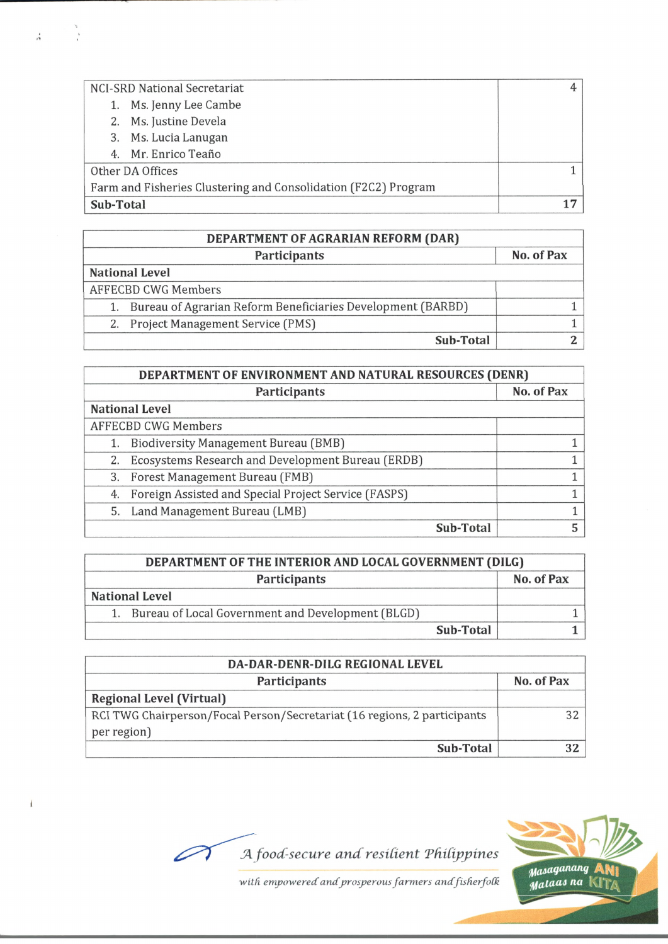| NCI-SRD National Secretariat                                   |  |
|----------------------------------------------------------------|--|
| 1. Ms. Jenny Lee Cambe                                         |  |
| 2. Ms. Justine Devela                                          |  |
| 3. Ms. Lucia Lanugan                                           |  |
| 4. Mr. Enrico Teaño                                            |  |
| Other DA Offices                                               |  |
| Farm and Fisheries Clustering and Consolidation (F2C2) Program |  |
| Sub-Total                                                      |  |

 $\frac{1}{\sqrt{2}}$  ,  $\frac{1}{\sqrt{2}}$ 

 $\pmb{\downarrow}$ 

| DEPARTMENT OF AGRARIAN REFORM (DAR)                         |            |  |
|-------------------------------------------------------------|------------|--|
| Participants                                                | No. of Pax |  |
| <b>National Level</b>                                       |            |  |
| <b>AFFECBD CWG Members</b>                                  |            |  |
| Bureau of Agrarian Reform Beneficiaries Development (BARBD) |            |  |
| 2. Project Management Service (PMS)                         |            |  |
| Sub-Total                                                   |            |  |

| DEPARTMENT OF ENVIRONMENT AND NATURAL RESOURCES (DENR)  |                     |            |
|---------------------------------------------------------|---------------------|------------|
|                                                         | <b>Participants</b> | No. of Pax |
| <b>National Level</b>                                   |                     |            |
| <b>AFFECBD CWG Members</b>                              |                     |            |
| <b>Biodiversity Management Bureau (BMB)</b><br>1.       |                     |            |
| 2. Ecosystems Research and Development Bureau (ERDB)    |                     |            |
| 3. Forest Management Bureau (FMB)                       |                     |            |
| 4. Foreign Assisted and Special Project Service (FASPS) |                     |            |
| 5. Land Management Bureau (LMB)                         |                     |            |
|                                                         | Sub-Total           |            |

| DEPARTMENT OF THE INTERIOR AND LOCAL GOVERNMENT (DILG) |                                                      |            |
|--------------------------------------------------------|------------------------------------------------------|------------|
|                                                        | <b>Participants</b>                                  | No. of Pax |
|                                                        | <b>National Level</b>                                |            |
|                                                        | 1. Bureau of Local Government and Development (BLGD) |            |
|                                                        | Sub-Total                                            |            |

| DA-DAR-DENR-DILG REGIONAL LEVEL                                                         |            |
|-----------------------------------------------------------------------------------------|------------|
| Participants                                                                            | No. of Pax |
| <b>Regional Level (Virtual)</b>                                                         |            |
| RCI TWG Chairperson/Focal Person/Secretariat (16 regions, 2 participants<br>per region) | スフ         |
| Sub-Total                                                                               |            |



*JA food-secure and resident T f idppines*

with empowered and prosperous farmers and fisherfolk